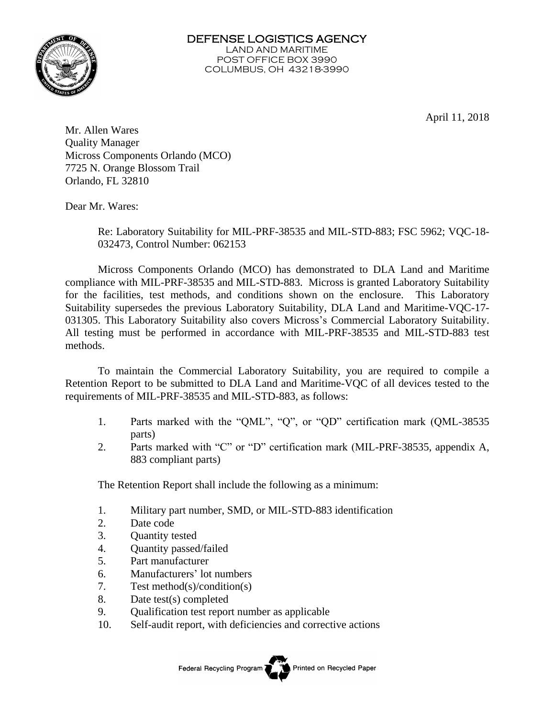

April 11, 2018

Mr. Allen Wares Quality Manager Micross Components Orlando (MCO) 7725 N. Orange Blossom Trail Orlando, FL 32810

Dear Mr. Wares:

Re: Laboratory Suitability for MIL-PRF-38535 and MIL-STD-883; FSC 5962; VQC-18- 032473, Control Number: 062153

Micross Components Orlando (MCO) has demonstrated to DLA Land and Maritime compliance with MIL-PRF-38535 and MIL-STD-883. Micross is granted Laboratory Suitability for the facilities, test methods, and conditions shown on the enclosure. This Laboratory Suitability supersedes the previous Laboratory Suitability, DLA Land and Maritime-VQC-17- 031305. This Laboratory Suitability also covers Micross's Commercial Laboratory Suitability. All testing must be performed in accordance with MIL-PRF-38535 and MIL-STD-883 test methods.

To maintain the Commercial Laboratory Suitability, you are required to compile a Retention Report to be submitted to DLA Land and Maritime-VQC of all devices tested to the requirements of MIL-PRF-38535 and MIL-STD-883, as follows:

- 1. Parts marked with the "QML", "Q", or "QD" certification mark (QML-38535 parts)
- 2. Parts marked with "C" or "D" certification mark (MIL-PRF-38535, appendix A, 883 compliant parts)

The Retention Report shall include the following as a minimum:

- 1. Military part number, SMD, or MIL-STD-883 identification
- 2. Date code
- 3. Quantity tested
- 4. Quantity passed/failed
- 5. Part manufacturer
- 6. Manufacturers' lot numbers
- 7. Test method(s)/condition(s)
- 8. Date test(s) completed
- 9. Qualification test report number as applicable
- 10. Self-audit report, with deficiencies and corrective actions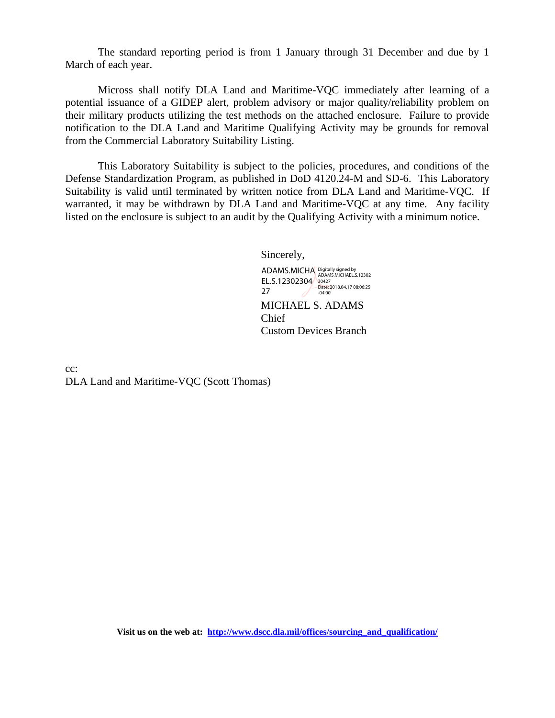The standard reporting period is from 1 January through 31 December and due by 1 March of each year.

Micross shall notify DLA Land and Maritime-VQC immediately after learning of a potential issuance of a GIDEP alert, problem advisory or major quality/reliability problem on their military products utilizing the test methods on the attached enclosure. Failure to provide notification to the DLA Land and Maritime Qualifying Activity may be grounds for removal from the Commercial Laboratory Suitability Listing.

This Laboratory Suitability is subject to the policies, procedures, and conditions of the Defense Standardization Program, as published in DoD 4120.24-M and SD-6. This Laboratory Suitability is valid until terminated by written notice from DLA Land and Maritime-VQC. If warranted, it may be withdrawn by DLA Land and Maritime-VQC at any time. Any facility listed on the enclosure is subject to an audit by the Qualifying Activity with a minimum notice.

Sincerely,

MICHAEL S. ADAMS Chief Custom Devices Branch ADAMS.MICHA Digitally signed by<br>ADAMS.MICHAEL.S.12302 EL.S.12302304 30427<br>  $\overline{P}$  Date: 2018.04.17 08:06:25 27 -04'00'

cc: DLA Land and Maritime-VQC (Scott Thomas)

**Visit us on the web at: [http://www.dscc.dla.mil/offices/sourcing\\_and\\_qualification/](http://www.dscc.dla.mil/offices/sourcing_and_qualification/)**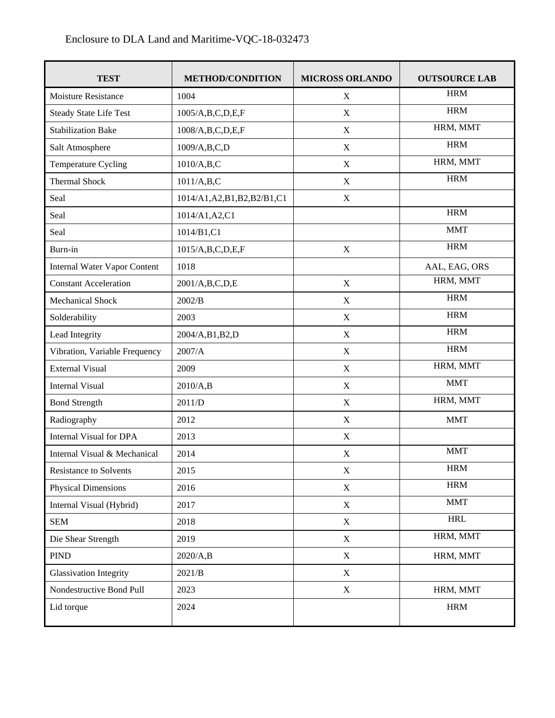| <b>TEST</b>                         | <b>METHOD/CONDITION</b>        | <b>MICROSS ORLANDO</b> | <b>OUTSOURCE LAB</b> |
|-------------------------------------|--------------------------------|------------------------|----------------------|
| <b>Moisture Resistance</b>          | 1004                           | X                      | <b>HRM</b>           |
| <b>Steady State Life Test</b>       | 1005/A,B,C,D,E,F               | $\mathbf X$            | <b>HRM</b>           |
| <b>Stabilization Bake</b>           | 1008/A,B,C,D,E,F               | X                      | HRM, MMT             |
| Salt Atmosphere                     | 1009/A,B,C,D                   | $\mathbf X$            | <b>HRM</b>           |
| Temperature Cycling                 | 1010/A,B,C                     | $\mathbf X$            | HRM, MMT             |
| <b>Thermal Shock</b>                | 1011/A,B,C                     | X                      | <b>HRM</b>           |
| Seal                                | 1014/A1, A2, B1, B2, B2/B1, C1 | X                      |                      |
| Seal                                | 1014/A1, A2, C1                |                        | <b>HRM</b>           |
| Seal                                | 1014/B1,C1                     |                        | <b>MMT</b>           |
| Burn-in                             | 1015/A,B,C,D,E,F               | $\mathbf X$            | <b>HRM</b>           |
| <b>Internal Water Vapor Content</b> | 1018                           |                        | AAL, EAG, ORS        |
| <b>Constant Acceleration</b>        | 2001/A,B,C,D,E                 | $\mathbf X$            | HRM, MMT             |
| Mechanical Shock                    | 2002/B                         | $\mathbf X$            | <b>HRM</b>           |
| Solderability                       | 2003                           | $\mathbf X$            | <b>HRM</b>           |
| Lead Integrity                      | 2004/A,B1,B2,D                 | $\mathbf X$            | <b>HRM</b>           |
| Vibration, Variable Frequency       | 2007/A                         | $\mathbf X$            | <b>HRM</b>           |
| <b>External Visual</b>              | 2009                           | $\mathbf X$            | HRM, MMT             |
| <b>Internal Visual</b>              | 2010/A,B                       | $\mathbf X$            | <b>MMT</b>           |
| <b>Bond Strength</b>                | 2011/D                         | $\mathbf X$            | HRM, MMT             |
| Radiography                         | 2012                           | $\mathbf X$            | <b>MMT</b>           |
| <b>Internal Visual for DPA</b>      | 2013                           | $\mathbf X$            |                      |
| Internal Visual & Mechanical        | 2014                           | $\mathbf X$            | <b>MMT</b>           |
| <b>Resistance to Solvents</b>       | 2015                           | $\mathbf X$            | <b>HRM</b>           |
| <b>Physical Dimensions</b>          | 2016                           | $\mathbf X$            | <b>HRM</b>           |
| Internal Visual (Hybrid)            | 2017                           | $\mathbf X$            | <b>MMT</b>           |
| <b>SEM</b>                          | 2018                           | $\mathbf X$            | <b>HRL</b>           |
| Die Shear Strength                  | 2019                           | $\mathbf X$            | HRM, MMT             |
| <b>PIND</b>                         | 2020/A,B                       | $\mathbf X$            | HRM, MMT             |
| <b>Glassivation Integrity</b>       | 2021/B                         | $\mathbf X$            |                      |
| Nondestructive Bond Pull            | 2023                           | $\mathbf X$            | HRM, MMT             |
| Lid torque                          | 2024                           |                        | <b>HRM</b>           |